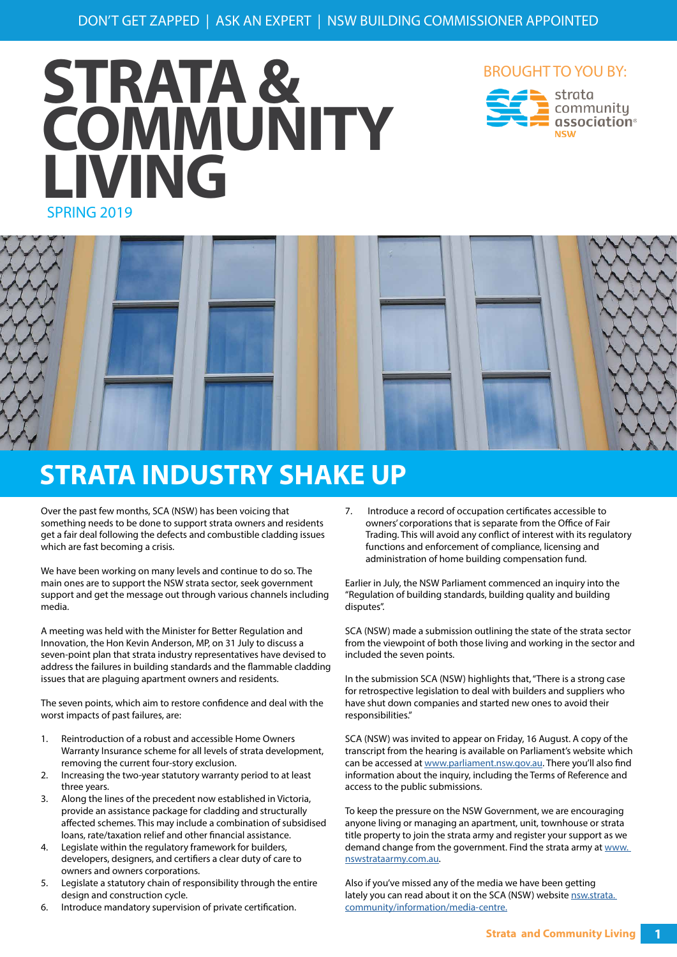# SPRING 2019 **STRATA & COMMUNITY LIVING**







### **STRATA INDUSTRY SHAKE UP**

Over the past few months, SCA (NSW) has been voicing that something needs to be done to support strata owners and residents get a fair deal following the defects and combustible cladding issues which are fast becoming a crisis.

We have been working on many levels and continue to do so. The main ones are to support the NSW strata sector, seek government support and get the message out through various channels including media.

A meeting was held with the Minister for Better Regulation and Innovation, the Hon Kevin Anderson, MP, on 31 July to discuss a seven-point plan that strata industry representatives have devised to address the failures in building standards and the flammable cladding issues that are plaguing apartment owners and residents.

The seven points, which aim to restore confidence and deal with the worst impacts of past failures, are:

- 1. Reintroduction of a robust and accessible Home Owners Warranty Insurance scheme for all levels of strata development, removing the current four-story exclusion.
- 2. Increasing the two-year statutory warranty period to at least three years.
- 3. Along the lines of the precedent now established in Victoria, provide an assistance package for cladding and structurally affected schemes. This may include a combination of subsidised loans, rate/taxation relief and other financial assistance.
- 4. Legislate within the regulatory framework for builders, developers, designers, and certifiers a clear duty of care to owners and owners corporations.
- 5. Legislate a statutory chain of responsibility through the entire design and construction cycle.
- 6. Introduce mandatory supervision of private certification.

7. Introduce a record of occupation certificates accessible to owners' corporations that is separate from the Office of Fair Trading. This will avoid any conflict of interest with its regulatory functions and enforcement of compliance, licensing and administration of home building compensation fund.

Earlier in July, the NSW Parliament commenced an inquiry into the "Regulation of building standards, building quality and building disputes".

SCA (NSW) made a submission outlining the state of the strata sector from the viewpoint of both those living and working in the sector and included the seven points.

In the submission SCA (NSW) highlights that, "There is a strong case for retrospective legislation to deal with builders and suppliers who have shut down companies and started new ones to avoid their responsibilities."

SCA (NSW) was invited to appear on Friday, 16 August. A copy of the transcript from the hearing is available on Parliament's website which can be accessed at [www.parliament.nsw.gov.au](http://www.parliament.nsw.gov.au). There you'll also find information about the inquiry, including the Terms of Reference and access to the public submissions.

To keep the pressure on the NSW Government, we are encouraging anyone living or managing an apartment, unit, townhouse or strata title property to join the strata army and register your support as we demand change from the government. Find the strata army at www. [nswstrataarmy.com.au.](http://nswstrataarmy.com.au)

Also if you've missed any of the media we have been getting lately you can read about it on the SCA (NSW) website nsw.strata. [community/information/media-centre.](http://nsw.strata.community/information/media-centre)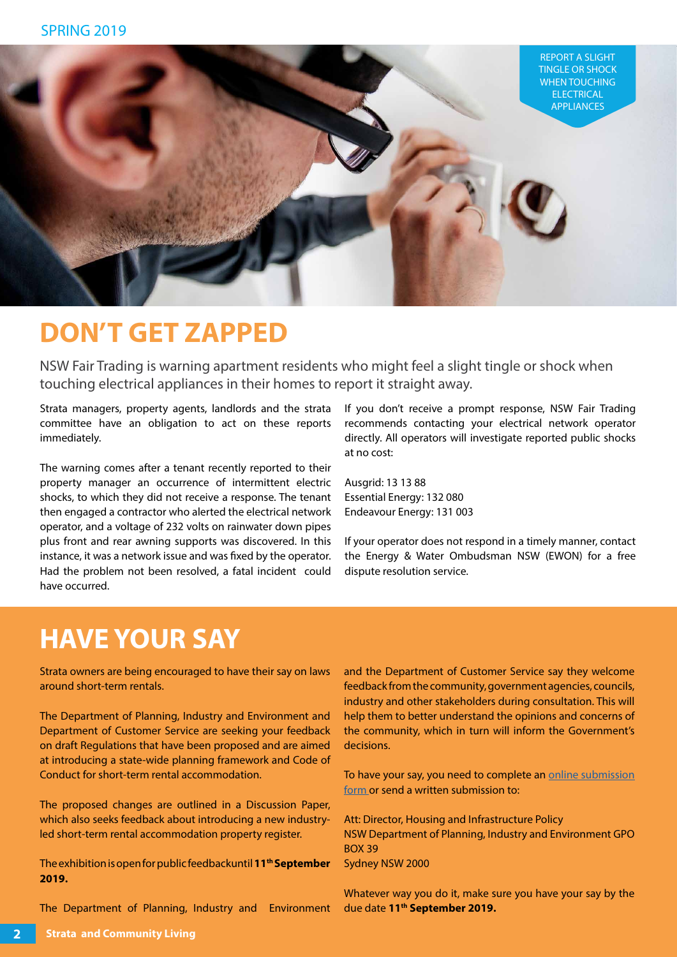

### **DON'T GET ZAPPED**

NSW Fair Trading is warning apartment residents who might feel a slight tingle or shock when touching electrical appliances in their homes to report it straight away.

Strata managers, property agents, landlords and the strata committee have an obligation to act on these reports immediately.

The warning comes after a tenant recently reported to their property manager an occurrence of intermittent electric shocks, to which they did not receive a response. The tenant then engaged a contractor who alerted the electrical network operator, and a voltage of 232 volts on rainwater down pipes plus front and rear awning supports was discovered. In this instance, it was a network issue and was fixed by the operator. Had the problem not been resolved, a fatal incident could have occurred.

If you don't receive a prompt response, NSW Fair Trading recommends contacting your electrical network operator directly. All operators will investigate reported public shocks at no cost:

Ausgrid: 13 13 88 Essential Energy: 132 080 Endeavour Energy: 131 003

If your operator does not respond in a timely manner, contact the Energy & Water Ombudsman NSW (EWON) for a free dispute resolution service.

### **HAVE YOUR SAY**

Strata owners are being encouraged to have their say on laws around short-term rentals.

The Department of Planning, Industry and Environment and Department of Customer Service are seeking your feedback on draft Regulations that have been proposed and are aimed at introducing a state-wide planning framework and Code of Conduct for short-term rental accommodation.

The proposed changes are outlined in a Discussion Paper, which also seeks feedback about introducing a new industryled short-term rental accommodation property register.

The exhibition is open for public feedbackuntil **11th September 2019.**

The Department of Planning, Industry and Environment

and the Department of Customer Service say they welcome feedback from the community, government agencies, councils, industry and other stakeholders during consultation. This will help them to better understand the opinions and concerns of the community, which in turn will inform the Government's decisions.

To have your say, you need to complete an [online submission](https://www.fairtrading.nsw.gov.au/consultation-tool/real-estate-and-property-services-industry-reform) [form o](https://www.fairtrading.nsw.gov.au/consultation-tool/real-estate-and-property-services-industry-reform)r send a written submission to:

Att: Director, Housing and Infrastructure Policy NSW Department of Planning, Industry and Environment GPO BOX 39 Sydney NSW 2000

Whatever way you do it, make sure you have your say by the due date **11th September 2019.**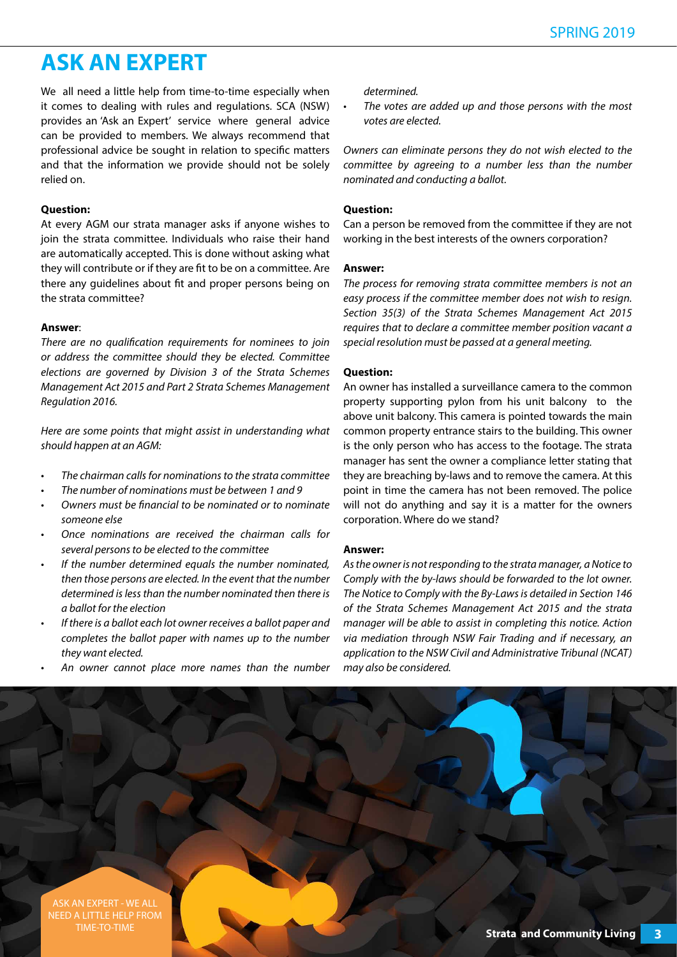### **ASK AN EXPERT**

We all need a little help from time-to-time especially when it comes to dealing with rules and regulations. SCA (NSW) provides an 'Ask an Expert' service where general advice can be provided to members. We always recommend that professional advice be sought in relation to specific matters and that the information we provide should not be solely relied on.

#### **Question:**

At every AGM our strata manager asks if anyone wishes to join the strata committee. Individuals who raise their hand are automatically accepted. This is done without asking what they will contribute or if they are fit to be on a committee. Are there any guidelines about fit and proper persons being on the strata committee?

#### **Answer**:

*There are no qualification requirements for nominees to join or address the committee should they be elected. Committee elections are governed by Division 3 of the Strata Schemes Management Act 2015 and Part 2 Strata Schemes Management Regulation 2016.*

*Here are some points that might assist in understanding what should happen at an AGM:*

- *• The chairman calls for nominations to the strata committee*
- *• The number of nominations must be between 1 and 9*
- *• Owners must be financial to be nominated or to nominate someone else*
- *• Once nominations are received the chairman calls for several persons to be elected to the committee*
- *• If the number determined equals the number nominated, then those persons are elected. In the event that the number determined is less than the number nominated then there is a ballot for the election*
- *• If there is a ballot each lot owner receives a ballot paper and completes the ballot paper with names up to the number they want elected.*
- *• An owner cannot place more names than the number*

*determined.*

*• The votes are added up and those persons with the most votes are elected.*

*Owners can eliminate persons they do not wish elected to the committee by agreeing to a number less than the number nominated and conducting a ballot.*

#### **Question:**

Can a person be removed from the committee if they are not working in the best interests of the owners corporation?

#### **Answer:**

*The process for removing strata committee members is not an easy process if the committee member does not wish to resign. Section 35(3) of the Strata Schemes Management Act 2015 requires that to declare a committee member position vacant a special resolution must be passed at a general meeting.*

#### **Question:**

An owner has installed a surveillance camera to the common property supporting pylon from his unit balcony to the above unit balcony. This camera is pointed towards the main common property entrance stairs to the building. This owner is the only person who has access to the footage. The strata manager has sent the owner a compliance letter stating that they are breaching by-laws and to remove the camera. At this point in time the camera has not been removed. The police will not do anything and say it is a matter for the owners corporation. Where do we stand?

#### **Answer:**

*As the owner is not responding to the strata manager, a Notice to Comply with the by-laws should be forwarded to the lot owner. The Notice to Comply with the By-Laws is detailed in Section 146 of the Strata Schemes Management Act 2015 and the strata manager will be able to assist in completing this notice. Action via mediation through NSW Fair Trading and if necessary, an application to the NSW Civil and Administrative Tribunal (NCAT) may also be considered.*

**Strata and Community Living 3** ASK AN EXPERT - WE ALL NEED A LITTLE HELP FROM TIME-TO-TIME